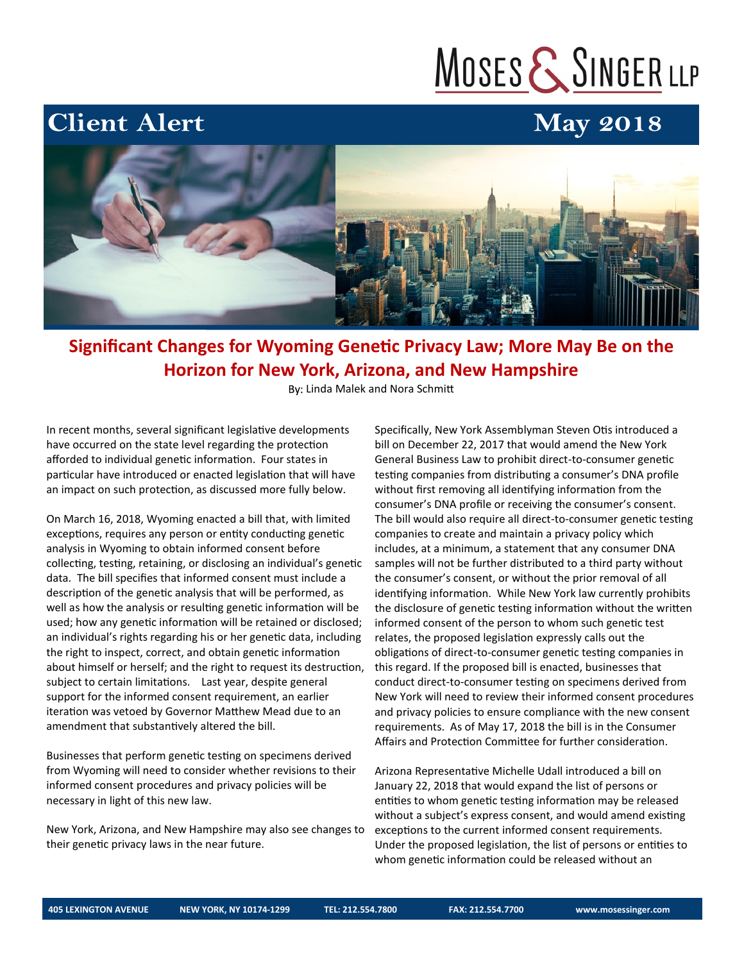# MOSES & SINGER LLP

## **May 2018**



### **Significant Changes for Wyoming Genetic Privacy Law; More May Be on the Horizon for New York, Arizona, and New Hampshire**

By: Linda Malek and Nora Schmitt

In recent months, several significant legislative developments have occurred on the state level regarding the protection afforded to individual genetic information. Four states in particular have introduced or enacted legislation that will have an impact on such protection, as discussed more fully below.

**Client Alert** 

On March 16, 2018, Wyoming enacted a bill that, with limited exceptions, requires any person or entity conducting genetic analysis in Wyoming to obtain informed consent before collecting, testing, retaining, or disclosing an individual's genetic data. The bill specifies that informed consent must include a description of the genetic analysis that will be performed, as well as how the analysis or resulting genetic information will be used; how any genetic information will be retained or disclosed; an individual's rights regarding his or her genetic data, including the right to inspect, correct, and obtain genetic information about himself or herself; and the right to request its destruction, subject to certain limitations. Last year, despite general support for the informed consent requirement, an earlier iteration was vetoed by Governor Matthew Mead due to an amendment that substantively altered the bill.

Businesses that perform genetic testing on specimens derived from Wyoming will need to consider whether revisions to their informed consent procedures and privacy policies will be necessary in light of this new law.

New York, Arizona, and New Hampshire may also see changes to their genetic privacy laws in the near future.

Specifically, New York Assemblyman Steven Otis introduced a bill on December 22, 2017 that would amend the New York General Business Law to prohibit direct-to-consumer genetic testing companies from distributing a consumer's DNA profile without first removing all identifying information from the consumer's DNA profile or receiving the consumer's consent. The bill would also require all direct-to-consumer genetic testing companies to create and maintain a privacy policy which includes, at a minimum, a statement that any consumer DNA samples will not be further distributed to a third party without the consumer's consent, or without the prior removal of all identifying information. While New York law currently prohibits the disclosure of genetic testing information without the written informed consent of the person to whom such genetic test relates, the proposed legislation expressly calls out the obligations of direct-to-consumer genetic testing companies in this regard. If the proposed bill is enacted, businesses that conduct direct-to-consumer testing on specimens derived from New York will need to review their informed consent procedures and privacy policies to ensure compliance with the new consent requirements. As of May 17, 2018 the bill is in the Consumer Affairs and Protection Committee for further consideration.

Arizona Representative Michelle Udall introduced a bill on January 22, 2018 that would expand the list of persons or entities to whom genetic testing information may be released without a subject's express consent, and would amend existing exceptions to the current informed consent requirements. Under the proposed legislation, the list of persons or entities to whom genetic information could be released without an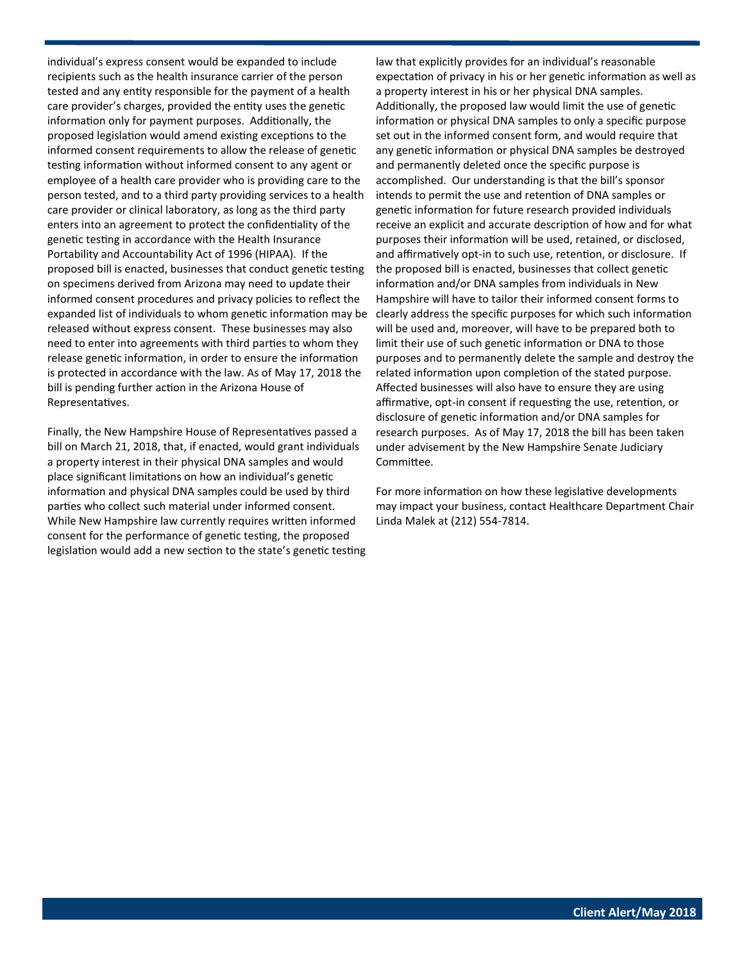individual's express consent would be expanded to include recipients such as the health insurance carrier of the person tested and any entity responsible for the payment of a health care provider's charges, provided the entity uses the genetic information only for payment purposes. Additionally, the proposed legislation would amend existing exceptions to the informed consent requirements to allow the release of genetic testing information without informed consent to any agent or employee of a health care provider who is providing care to the person tested, and to a third party providing services to a health care provider or clinical laboratory, as long as the third party enters into an agreement to protect the confidentiality of the genetic testing in accordance with the Health Insurance Portability and Accountability Act of 1996 (HIPAA). If the proposed bill is enacted, businesses that conduct genetic testing on specimens derived from Arizona may need to update their informed consent procedures and privacy policies to reflect the expanded list of individuals to whom genetic information may be released without express consent. These businesses may also need to enter into agreements with third parties to whom they release genetic information, in order to ensure the information is protected in accordance with the law. As of May 17, 2018 the bill is pending further action in the Arizona House of Representatives.

Finally, the New Hampshire House of Representatives passed a bill on March 21, 2018, that, if enacted, would grant individuals a property interest in their physical DNA samples and would place significant limitations on how an individual's genetic information and physical DNA samples could be used by third parties who collect such material under informed consent. While New Hampshire law currently requires written informed consent for the performance of genetic testing, the proposed legislation would add a new section to the state's genetic testing

law that explicitly provides for an individual's reasonable expectation of privacy in his or her genetic information as well as a property interest in his or her physical DNA samples. Additionally, the proposed law would limit the use of genetic information or physical DNA samples to only a specific purpose set out in the informed consent form, and would require that any genetic information or physical DNA samples be destroyed and permanently deleted once the specific purpose is accomplished. Our understanding is that the bill's sponsor intends to permit the use and retention of DNA samples or genetic information for future research provided individuals receive an explicit and accurate description of how and for what purposes their information will be used, retained, or disclosed, and affirmatively opt-in to such use, retention, or disclosure. If the proposed bill is enacted, businesses that collect genetic information and/or DNA samples from individuals in New Hampshire will have to tailor their informed consent forms to clearly address the specific purposes for which such information will be used and, moreover, will have to be prepared both to limit their use of such genetic information or DNA to those purposes and to permanently delete the sample and destroy the related information upon completion of the stated purpose. Affected businesses will also have to ensure they are using affirmative, opt-in consent if requesting the use, retention, or disclosure of genetic information and/or DNA samples for research purposes. As of May 17, 2018 the bill has been taken under advisement by the New Hampshire Senate Judiciary Committee.

For more information on how these legislative developments may impact your business, contact Healthcare Department Chair Linda Malek at (212) 554-7814.